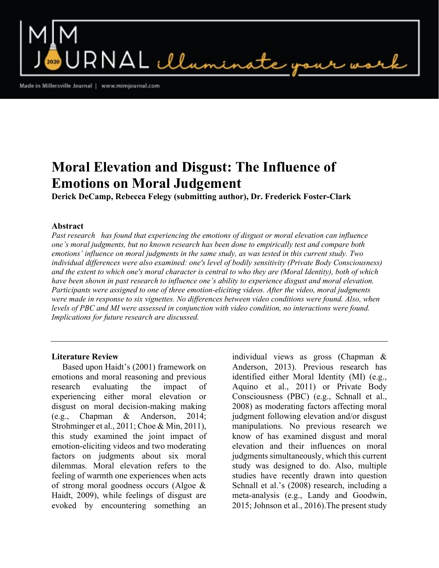$\mathsf{RNAL}\ \mathcal{L}\ \mathcal{L}\ \mathcal{L}$ mi

Made in Millersville Journal | www.mimjournal.com

# Moral Elevation and Disgust: The Influence of Emotions on Moral Judgement

Derick DeCamp, Rebecca Felegy (submitting author), Dr. Frederick Foster-Clark

## Abstract

Past research has found that experiencing the emotions of disgust or moral elevation can influence one's moral judgments, but no known research has been done to empirically test and compare both emotions' influence on moral judgments in the same study, as was tested in this current study. Two individual differences were also examined: one's level of bodily sensitivity (Private Body Consciousness) and the extent to which one's moral character is central to who they are (Moral Identity), both of which have been shown in past research to influence one's ability to experience disgust and moral elevation. Participants were assigned to one of three emotion-eliciting videos. After the video, moral judgments were made in response to six vignettes. No differences between video conditions were found. Also, when levels of PBC and MI were assessed in conjunction with video condition, no interactions were found. Implications for future research are discussed.

# Literature Review

 Based upon Haidt's (2001) framework on emotions and moral reasoning and previous research evaluating the impact of experiencing either moral elevation or disgust on moral decision-making making (e.g., Chapman & Anderson, 2014; Strohminger et al., 2011; Choe & Min, 2011), this study examined the joint impact of emotion-eliciting videos and two moderating factors on judgments about six moral dilemmas. Moral elevation refers to the feeling of warmth one experiences when acts of strong moral goodness occurs (Algoe & Haidt, 2009), while feelings of disgust are evoked by encountering something an

individual views as gross (Chapman & Anderson, 2013). Previous research has identified either Moral Identity (MI) (e.g., Aquino et al., 2011) or Private Body Consciousness (PBC) (e.g., Schnall et al., 2008) as moderating factors affecting moral judgment following elevation and/or disgust manipulations. No previous research we know of has examined disgust and moral elevation and their influences on moral judgments simultaneously, which this current study was designed to do. Also, multiple studies have recently drawn into question Schnall et al.'s (2008) research, including a meta-analysis (e.g., Landy and Goodwin, 2015; Johnson et al., 2016).The present study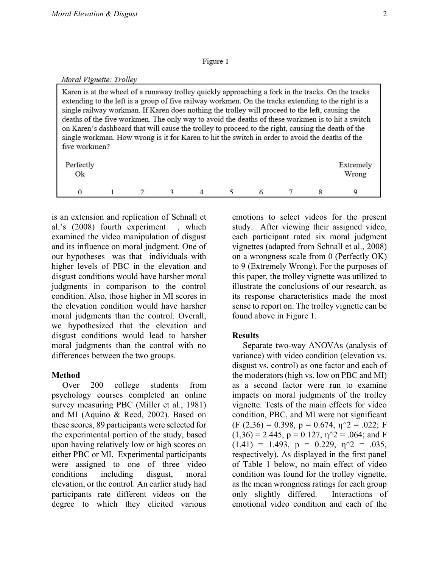#### Figure 1

#### Moral Vignette: Trolley

Karen is at the wheel of a runaway trolley quickly approaching a fork in the tracks. On the tracks extending to the left is a group of five railway workmen. On the tracks extending to the right is a single railway workman. If Karen does nothing the trolley will proceed to the left, causing the deaths of the five workmen. The only way to avoid the deaths of these workmen is to hit a switch on Karen's dashboard that will cause the trolley to proceed to the right, causing the death of the single workman. How wrong is it for Karen to hit the switch in order to avoid the deaths of the five workmen?

| Perfectly<br>$\mathrm{Ok}$ |  |  |  |   | Extremely<br>Wrong |
|----------------------------|--|--|--|---|--------------------|
|                            |  |  |  | − |                    |

is an extension and replication of Schnall et al.'s (2008) fourth experiment , which examined the video manipulation of disgust and its influence on moral judgment. One of our hypotheses was that individuals with higher levels of PBC in the elevation and disgust conditions would have harsher moral judgments in comparison to the control condition. Also, those higher in MI scores in the elevation condition would have harsher moral judgments than the control. Overall, we hypothesized that the elevation and disgust conditions would lead to harsher moral judgments than the control with no differences between the two groups.

# Method

 Over 200 college students from psychology courses completed an online survey measuring PBC (Miller et al., 1981) and MI (Aquino & Reed, 2002). Based on these scores, 89 participants were selected for the experimental portion of the study, based upon having relatively low or high scores on either PBC or MI. Experimental participants were assigned to one of three video conditions including disgust, moral elevation, or the control. An earlier study had participants rate different videos on the degree to which they elicited various

emotions to select videos for the present study. After viewing their assigned video, each participant rated six moral judgment vignettes (adapted from Schnall et al., 2008) on a wrongness scale from 0 (Perfectly OK) to 9 (Extremely Wrong). For the purposes of this paper, the trolley vignette was utilized to illustrate the conclusions of our research, as its response characteristics made the most sense to report on. The trolley vignette can be found above in Figure 1.

# **Results**

 Separate two-way ANOVAs (analysis of variance) with video condition (elevation vs. disgust vs. control) as one factor and each of the moderators (high vs. low on PBC and MI) as a second factor were run to examine impacts on moral judgments of the trolley vignette. Tests of the main effects for video condition, PBC, and MI were not significant  $(F (2,36) = 0.398, p = 0.674, \eta^2 = .022; F$  $(1,36) = 2.445$ ,  $p = 0.127$ ,  $\eta$ <sup>2</sup> = .064; and F  $(1,41) = 1.493$ ,  $p = 0.229$ ,  $\eta$ <sup>2</sup> = .035, respectively). As displayed in the first panel of Table 1 below, no main effect of video condition was found for the trolley vignette, as the mean wrongness ratings for each group only slightly differed. Interactions of emotional video condition and each of the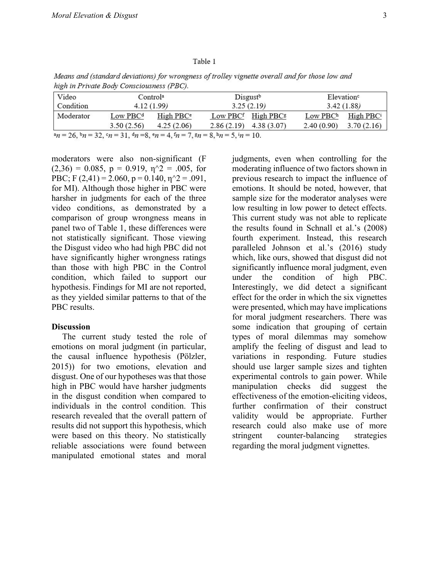#### Table 1

Means and (standard deviations) for wrongness of trolley vignette overall and for those low and high in Private Body Consciousness (PBC).

| Video     |                                                                                               | Control <sup>a</sup>  | Disgust <sup>b</sup> |                                            | Elevation <sup>c</sup> |                       |  |
|-----------|-----------------------------------------------------------------------------------------------|-----------------------|----------------------|--------------------------------------------|------------------------|-----------------------|--|
| Condition | 4.12(1.99)                                                                                    |                       |                      | 3.25(2.19)                                 | 3.42(1.88)             |                       |  |
| Moderator | Low PBC <sup>d</sup>                                                                          | High PBC <sup>e</sup> |                      | Low PBC <sup>f</sup> High PBC <sup>g</sup> | $Low$ $PBCh$           | High PBC <sup>i</sup> |  |
|           | 3.50(2.56)                                                                                    | 4.25(2.06)            |                      | $2.86(2.19)$ 4.38 (3.07)                   | 2.40(0.90)             | 3.70(2.16)            |  |
|           | $n = 26$ , $n = 32$ , $n = 31$ , $n = 8$ , $n = 4$ , $n = 7$ , $n = 8$ , $n = 5$ , $n = 10$ , |                       |                      |                                            |                        |                       |  |

moderators were also non-significant (F  $(2,36) = 0.085$ ,  $p = 0.919$ ,  $\eta$ <sup>2</sup> = .005, for PBC; F (2,41) = 2.060,  $p = 0.140$ ,  $\eta$ <sup> $\gamma$ </sup>2 = .091, for MI). Although those higher in PBC were harsher in judgments for each of the three video conditions, as demonstrated by a comparison of group wrongness means in panel two of Table 1, these differences were not statistically significant. Those viewing the Disgust video who had high PBC did not have significantly higher wrongness ratings than those with high PBC in the Control condition, which failed to support our hypothesis. Findings for MI are not reported, as they yielded similar patterns to that of the PBC results.

#### **Discussion**

 The current study tested the role of emotions on moral judgment (in particular, the causal influence hypothesis (Pölzler, 2015)) for two emotions, elevation and disgust. One of our hypotheses was that those high in PBC would have harsher judgments in the disgust condition when compared to individuals in the control condition. This research revealed that the overall pattern of results did not support this hypothesis, which were based on this theory. No statistically reliable associations were found between manipulated emotional states and moral

judgments, even when controlling for the moderating influence of two factors shown in previous research to impact the influence of emotions. It should be noted, however, that sample size for the moderator analyses were low resulting in low power to detect effects. This current study was not able to replicate the results found in Schnall et al.'s (2008) fourth experiment. Instead, this research paralleled Johnson et al.'s (2016) study which, like ours, showed that disgust did not significantly influence moral judgment, even under the condition of high PBC. Interestingly, we did detect a significant effect for the order in which the six vignettes were presented, which may have implications for moral judgment researchers. There was some indication that grouping of certain types of moral dilemmas may somehow amplify the feeling of disgust and lead to variations in responding. Future studies should use larger sample sizes and tighten experimental controls to gain power. While manipulation checks did suggest the effectiveness of the emotion-eliciting videos, further confirmation of their construct validity would be appropriate. Further research could also make use of more stringent counter-balancing strategies regarding the moral judgment vignettes.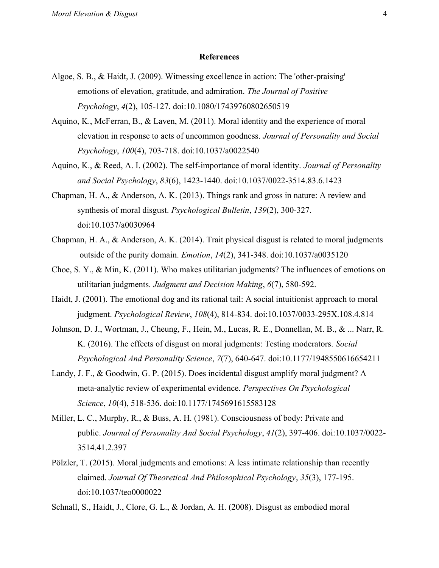#### References

- Algoe, S. B., & Haidt, J. (2009). Witnessing excellence in action: The 'other-praising' emotions of elevation, gratitude, and admiration. The Journal of Positive Psychology, 4(2), 105-127. doi:10.1080/17439760802650519
- Aquino, K., McFerran, B., & Laven, M. (2011). Moral identity and the experience of moral elevation in response to acts of uncommon goodness. Journal of Personality and Social Psychology, 100(4), 703-718. doi:10.1037/a0022540
- Aquino, K., & Reed, A. I. (2002). The self-importance of moral identity. Journal of Personality and Social Psychology, 83(6), 1423-1440. doi:10.1037/0022-3514.83.6.1423
- Chapman, H. A., & Anderson, A. K. (2013). Things rank and gross in nature: A review and synthesis of moral disgust. Psychological Bulletin, 139(2), 300-327. doi:10.1037/a0030964
- Chapman, H. A., & Anderson, A. K. (2014). Trait physical disgust is related to moral judgments outside of the purity domain. *Emotion*,  $14(2)$ ,  $341-348$ . doi:10.1037/a0035120
- Choe, S. Y., & Min, K. (2011). Who makes utilitarian judgments? The influences of emotions on utilitarian judgments. Judgment and Decision Making, 6(7), 580-592.
- Haidt, J. (2001). The emotional dog and its rational tail: A social intuitionist approach to moral judgment. Psychological Review, 108(4), 814-834. doi:10.1037/0033-295X.108.4.814
- Johnson, D. J., Wortman, J., Cheung, F., Hein, M., Lucas, R. E., Donnellan, M. B., & ... Narr, R. K. (2016). The effects of disgust on moral judgments: Testing moderators. Social Psychological And Personality Science, 7(7), 640-647. doi:10.1177/1948550616654211
- Landy, J. F., & Goodwin, G. P. (2015). Does incidental disgust amplify moral judgment? A meta-analytic review of experimental evidence. Perspectives On Psychological Science, 10(4), 518-536. doi:10.1177/1745691615583128
- Miller, L. C., Murphy, R., & Buss, A. H. (1981). Consciousness of body: Private and public. Journal of Personality And Social Psychology, 41(2), 397-406. doi:10.1037/0022- 3514.41.2.397
- Pölzler, T. (2015). Moral judgments and emotions: A less intimate relationship than recently claimed. Journal Of Theoretical And Philosophical Psychology, 35(3), 177-195. doi:10.1037/teo0000022
- Schnall, S., Haidt, J., Clore, G. L., & Jordan, A. H. (2008). Disgust as embodied moral